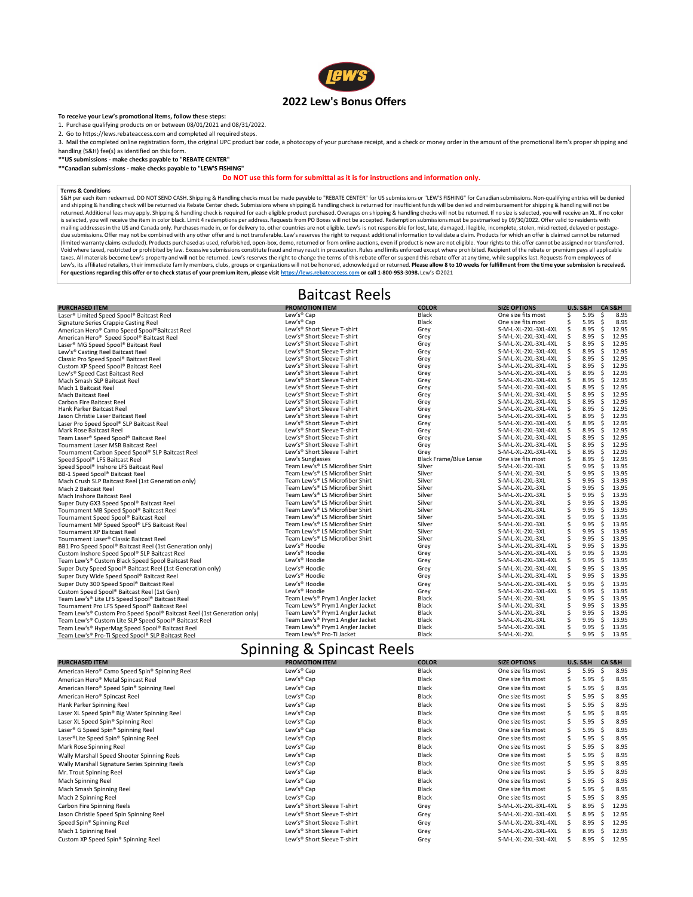| <b>PURCHASED ITEM</b>                                                   | <b>PROMOTION ITEM</b>                   | <b>COLOR</b>                  | <b>SIZE OPTIONS</b>  | <b>U.S. S&amp;H</b> | <b>CA S&amp;H</b> |
|-------------------------------------------------------------------------|-----------------------------------------|-------------------------------|----------------------|---------------------|-------------------|
| Laser <sup>®</sup> Limited Speed Spool <sup>®</sup> Baitcast Reel       | Lew's <sup>®</sup> Cap                  | <b>Black</b>                  | One size fits most   | 5.95                | S<br>8.95         |
| Signature Series Crappie Casting Reel                                   | Lew's <sup>®</sup> Cap                  | <b>Black</b>                  | One size fits most   | 5.95                | 8.95              |
| American Hero® Camo Speed Spool® Baitcast Reel                          | Lew's® Short Sleeve T-shirt             | Grey                          | S-M-L-XL-2XL-3XL-4XL | 8.95                | 12.95             |
| American Hero <sup>®</sup> Speed Spool <sup>®</sup> Baitcast Reel       | Lew's <sup>®</sup> Short Sleeve T-shirt | Grey                          | S-M-L-XL-2XL-3XL-4XL | 8.95                | 12.95             |
| Laser <sup>®</sup> MG Speed Spool <sup>®</sup> Baitcast Reel            | Lew's® Short Sleeve T-shirt             | Grey                          | S-M-L-XL-2XL-3XL-4XL | 8.95                | 12.95             |
| Lew's <sup>®</sup> Casting Reel Baitcast Reel                           | Lew's® Short Sleeve T-shirt             | Grey                          | S-M-L-XL-2XL-3XL-4XL | 8.95                | 12.95             |
| Classic Pro Speed Spool® Baitcast Reel                                  | Lew's® Short Sleeve T-shirt             | Grey                          | S-M-L-XL-2XL-3XL-4XL | 8.95                | 12.95             |
| Custom XP Speed Spool® Baitcast Reel                                    | Lew's® Short Sleeve T-shirt             | Grey                          | S-M-L-XL-2XL-3XL-4XL | 8.95                | 12.95             |
| Lew's® Speed Cast Baitcast Reel                                         | Lew's <sup>®</sup> Short Sleeve T-shirt | Grey                          | S-M-L-XL-2XL-3XL-4XL | 8.95                | 12.95             |
| Mach Smash SLP Baitcast Reel                                            | Lew's® Short Sleeve T-shirt             | Grey                          | S-M-L-XL-2XL-3XL-4XL | 8.95                | 12.95             |
| Mach 1 Baitcast Reel                                                    | Lew's® Short Sleeve T-shirt             | Grey                          | S-M-L-XL-2XL-3XL-4XL | 8.95                | 12.95             |
| <b>Mach Baitcast Reel</b>                                               | Lew's® Short Sleeve T-shirt             | Grey                          | S-M-L-XL-2XL-3XL-4XL | 8.95                | 12.95             |
| <b>Carbon Fire Baitcast Reel</b>                                        | Lew's <sup>®</sup> Short Sleeve T-shirt | Grey                          | S-M-L-XL-2XL-3XL-4XL | 8.95                | 12.95             |
| Hank Parker Baitcast Reel                                               | Lew's <sup>®</sup> Short Sleeve T-shirt | Grey                          | S-M-L-XL-2XL-3XL-4XL | 8.95                | 12.95             |
| Jason Christie Laser Baitcast Reel                                      | Lew's® Short Sleeve T-shirt             | Grey                          | S-M-L-XL-2XL-3XL-4XL | 8.95                | 12.95             |
| Laser Pro Speed Spool® SLP Baitcast Reel                                | Lew's® Short Sleeve T-shirt             | Grey                          | S-M-L-XL-2XL-3XL-4XL | 8.95                | 12.95             |
| <b>Mark Rose Baitcast Reel</b>                                          | Lew's® Short Sleeve T-shirt             | Grey                          | S-M-L-XL-2XL-3XL-4XL | 8.95                | 12.95             |
| Team Laser® Speed Spool® Baitcast Reel                                  | Lew's® Short Sleeve T-shirt             | Grey                          | S-M-L-XL-2XL-3XL-4XL | 8.95                | 12.95             |
| Tournament Laser MSB Baitcast Reel                                      | Lew's <sup>®</sup> Short Sleeve T-shirt | Grey                          | S-M-L-XL-2XL-3XL-4XL | 8.95                | 12.95             |
| Tournament Carbon Speed Spool® SLP Baitcast Reel                        | Lew's® Short Sleeve T-shirt             | Grey                          | S-M-L-XL-2XL-3XL-4XL | 8.95                | 12.95             |
| Speed Spool® LFS Baitcast Reel                                          | Lew's Sunglasses                        | <b>Black Frame/Blue Lense</b> | One size fits most   | 8.95                | 12.95             |
| Speed Spool® Inshore LFS Baitcast Reel                                  | Team Lew's® LS Microfiber Shirt         | Silver                        | S-M-L-XL-2XL-3XL     | 9.95                | 13.95             |
| BB-1 Speed Spool® Baitcast Reel                                         | Team Lew's® LS Microfiber Shirt         | Silver                        | S-M-L-XL-2XL-3XL     | 9.95                | 13.95             |
| Mach Crush SLP Baitcast Reel (1st Generation only)                      | Team Lew's® LS Microfiber Shirt         | Silver                        | S-M-L-XL-2XL-3XL     | 9.95                | 13.95             |
| Mach 2 Baitcast Reel                                                    | Team Lew's® LS Microfiber Shirt         | Silver                        | S-M-L-XL-2XL-3XL     | 9.95                | 13.95             |
| Mach Inshore Baitcast Reel                                              | Team Lew's® LS Microfiber Shirt         | Silver                        | S-M-L-XL-2XL-3XL     | 9.95                | 13.95             |
| Super Duty GX3 Speed Spool® Baitcast Reel                               | Team Lew's® LS Microfiber Shirt         | Silver                        | S-M-L-XL-2XL-3XL     | 9.95                | 13.95             |
| Tournament MB Speed Spool® Baitcast Reel                                | Team Lew's® LS Microfiber Shirt         | Silver                        | S-M-L-XL-2XL-3XL     | 9.95                | 13.95             |
| Tournament Speed Spool® Baitcast Reel                                   | Team Lew's® LS Microfiber Shirt         | Silver                        | S-M-L-XL-2XL-3XL     | 9.95                | 13.95             |
| Tournament MP Speed Spool® LFS Baitcast Reel                            | Team Lew's® LS Microfiber Shirt         | Silver                        | S-M-L-XL-2XL-3XL     | 9.95                | 13.95             |
| <b>Tournament XP Baitcast Reel</b>                                      | Team Lew's® LS Microfiber Shirt         | Silver                        | S-M-L-XL-2XL-3XL     | 9.95                | 13.95             |
| Tournament Laser <sup>®</sup> Classic Baitcast Reel                     | Team Lew's® LS Microfiber Shirt         | Silver                        | S-M-L-XL-2XL-3XL     | 9.95                | 13.95             |
| BB1 Pro Speed Spool® Baitcast Reel (1st Generation only)                | Lew's <sup>®</sup> Hoodie               | Grey                          | S-M-L-XL-2XL-3XL-4XL | 9.95                | 13.95             |
| Custom Inshore Speed Spool® SLP Baitcast Reel                           | Lew's® Hoodie                           | Grey                          | S-M-L-XL-2XL-3XL-4XL | 9.95                | 13.95             |
| Team Lew's® Custom Black Speed Spool Baitcast Reel                      | Lew's <sup>®</sup> Hoodie               | Grey                          | S-M-L-XL-2XL-3XL-4XL | 9.95                | S<br>13.95        |
| Super Duty Speed Spool® Baitcast Reel (1st Generation only)             | Lew's <sup>®</sup> Hoodie               | Grey                          | S-M-L-XL-2XL-3XL-4XL | 9.95                | 13.95             |
| Super Duty Wide Speed Spool® Baitcast Reel                              | Lew's <sup>®</sup> Hoodie               | Grey                          | S-M-L-XL-2XL-3XL-4XL | 9.95                | 13.95             |
| Super Duty 300 Speed Spool® Baitcast Reel                               | Lew's <sup>®</sup> Hoodie               | Grey                          | S-M-L-XL-2XL-3XL-4XL | 9.95                | 13.95             |
| Custom Speed Spool® Baitcast Reel (1st Gen)                             | Lew's <sup>®</sup> Hoodie               | Grey                          | S-M-L-XL-2XL-3XL-4XL | 9.95                | 13.95             |
| Team Lew's® Lite LFS Speed Spool® Baitcast Reel                         | Team Lew's® Prym1 Angler Jacket         | <b>Black</b>                  | S-M-L-XL-2XL-3XL     | 9.95                | 13.95             |
| Tournament Pro LFS Speed Spool® Baitcast Reel                           | Team Lew's® Prym1 Angler Jacket         | <b>Black</b>                  | S-M-L-XL-2XL-3XL     | 9.95                | 13.95             |
| Team Lew's® Custom Pro Speed Spool® Baitcast Reel (1st Generation only) | Team Lew's® Prym1 Angler Jacket         | <b>Black</b>                  | S-M-L-XL-2XL-3XL     | 9.95                | 13.95             |
| Team Lew's® Custom Lite SLP Speed Spool® Baitcast Reel                  | Team Lew's® Prym1 Angler Jacket         | <b>Black</b>                  | S-M-L-XL-2XL-3XL     | 9.95                | 13.95             |
| Team Lew's® HyperMag Speed Spool® Baitcast Reel                         | Team Lew's® Prym1 Angler Jacket         | <b>Black</b>                  | S-M-L-XL-2XL-3XL     | 9.95                | 13.95             |
| Team Lew's® Pro-Ti Speed Spool® SLP Baitcast Reel                       | Team Lew's® Pro-Ti Jacket               | <b>Black</b>                  | S-M-L-XL-2XL         | 9.95                | 13.95<br>-S       |

3. Mail the completed online registration form, the original UPC product bar code, a photocopy of your purchase receipt, and a check or money order in the amount of the promotional item's proper shipping and handling (S&H) fee(s) as identified on this form.

S&H per each item redeemed. DO NOT SEND CASH. Shipping & Handling checks must be made payable to "REBATE CENTER" for US submissions or "LEW'S FISHING" for Canadian submissions. Non-qualifying entries will be denied and shipping & handling check will be returned via Rebate Center check. Submissions where shipping & handling check is returned for insufficient funds will be denied and reimbursement for shipping & handling will not be returned. Additional fees may apply. Shipping & handling check is required for each eligible product purchased. Overages on shipping & handling checks will not be returned. If no size is selected, you will receive an XL. I is selected, you will receive the item in color black. Limit 4 redemptions per address. Requests from PO Boxes will not be accepted. Redemption submissions must be postmarked by 09/30/2022. Offer valid to residents with mailing addresses in the US and Canada only. Purchases made in, or for delivery to, other countries are not eligible. Lew's is not responsible for lost, late, damaged, illegible, incomplete, stolen, misdirected, delayed or due submissions. Offer may not be combined with any other offer and is not transferable. Lew's reserves the right to request additional information to validate a claim. Products for which an offer is claimed cannot be retu (limited warranty claims excluded). Products purchased as used, refurbished, open-box, demo, returned or from online auctions, even if product is new are not eligible. Your rights to this offer cannot be assigned nor trans Void where taxed, restricted or prohibited by law. Excessive submissions constitute fraud and may result in prosecution. Rules and limits enforced except where prohibited. Recipient of the rebate or premium pays all applic taxes. All materials become Lew's property and will not be returned. Lew's reserves the right to change the terms of this rebate offer or suspend this rebate offer at any time, while supplies last. Requests from employees Lew's, its affiliated retailers, their immediate family members, clubs, groups or organizations will not be honored, acknowledged or returned. Please allow 8 to 10 weeks for fulfillment from the time your submission is rec **For questions regarding this offer or to check status of your premium item, please visit https://lews.rebateaccess.com or call 1-800-953-3098.** Lew's ©2021

| <b>PURCHASED ITEM</b>                                      | <b>PROMOTION ITEM</b>                   | <b>COLOR</b> | <b>SIZE OPTIONS</b>  | <b>U.S. S&amp;H</b> | CA S&H       |       |
|------------------------------------------------------------|-----------------------------------------|--------------|----------------------|---------------------|--------------|-------|
| American Hero <sup>®</sup> Camo Speed Spin® Spinning Reel  | Lew's <sup>®</sup> Cap                  | <b>Black</b> | One size fits most   | 5.95                |              | 8.95  |
| American Hero <sup>®</sup> Metal Spincast Reel             | Lew's <sup>®</sup> Cap                  | <b>Black</b> | One size fits most   | 5.95                |              | 8.95  |
| American Hero® Speed Spin® Spinning Reel                   | Lew's <sup>®</sup> Cap                  | <b>Black</b> | One size fits most   | 5.95                |              | 8.95  |
| American Hero <sup>®</sup> Spincast Reel                   | Lew's <sup>®</sup> Cap                  | <b>Black</b> | One size fits most   | 5.95                |              | 8.95  |
| Hank Parker Spinning Reel                                  | Lew's <sup>®</sup> Cap                  | <b>Black</b> | One size fits most   | 5.95                |              | 8.95  |
| Laser XL Speed Spin® Big Water Spinning Reel               | Lew's <sup>®</sup> Cap                  | <b>Black</b> | One size fits most   | 5.95                |              | 8.95  |
| Laser XL Speed Spin® Spinning Reel                         | Lew's <sup>®</sup> Cap                  | <b>Black</b> | One size fits most   | 5.95                |              | 8.95  |
| Laser <sup>®</sup> G Speed Spin <sup>®</sup> Spinning Reel | Lew's <sup>®</sup> Cap                  | <b>Black</b> | One size fits most   | 5.95                |              | 8.95  |
| Laser®Lite Speed Spin® Spinning Reel                       | Lew's <sup>®</sup> Cap                  | <b>Black</b> | One size fits most   | 5.95                |              | 8.95  |
| Mark Rose Spinning Reel                                    | Lew's <sup>®</sup> Cap                  | <b>Black</b> | One size fits most   | 5.95                |              | 8.95  |
| Wally Marshall Speed Shooter Spinning Reels                | Lew's <sup>®</sup> Cap                  | <b>Black</b> | One size fits most   | 5.95                |              | 8.95  |
| Wally Marshall Signature Series Spinning Reels             | Lew's <sup>®</sup> Cap                  | <b>Black</b> | One size fits most   | 5.95                |              | 8.95  |
| Mr. Trout Spinning Reel                                    | Lew's <sup>®</sup> Cap                  | <b>Black</b> | One size fits most   | 5.95                |              | 8.95  |
| Mach Spinning Reel                                         | Lew's <sup>®</sup> Cap                  | <b>Black</b> | One size fits most   | 5.95                |              | 8.95  |
| Mach Smash Spinning Reel                                   | Lew's <sup>®</sup> Cap                  | <b>Black</b> | One size fits most   | 5.95                |              | 8.95  |
| Mach 2 Spinning Reel                                       | Lew's <sup>®</sup> Cap                  | <b>Black</b> | One size fits most   | 5.95                |              | 8.95  |
| Carbon Fire Spinning Reels                                 | Lew's <sup>®</sup> Short Sleeve T-shirt | Grey         | S-M-L-XL-2XL-3XL-4XL | 8.95                |              | 12.95 |
| Jason Christie Speed Spin Spinning Reel                    | Lew's® Short Sleeve T-shirt             | Grey         | S-M-L-XL-2XL-3XL-4XL | 8.95                |              | 12.95 |
| Speed Spin® Spinning Reel                                  | Lew's <sup>®</sup> Short Sleeve T-shirt | Grey         | S-M-L-XL-2XL-3XL-4XL | 8.95                |              | 12.95 |
| Mach 1 Spinning Reel                                       | Lew's <sup>®</sup> Short Sleeve T-shirt | Grey         | S-M-L-XL-2XL-3XL-4XL | 8.95                |              | 12.95 |
| Custom XP Speed Spin® Spinning Reel                        | Lew's® Short Sleeve T-shirt             | Grey         | S-M-L-XL-2XL-3XL-4XL | 8.95                | <sub>S</sub> | 12.95 |

### Baitcast Reels

### Spinning & Spincast Reels



#### **To receive your Lew's promotional items, follow these steps:**

1. Purchase qualifying products on or between 08/01/2021 and 08/31/2022.

2. Go to https://lews.rebateaccess.com and completed all required steps.

**\*\*US submissions - make checks payable to "REBATE CENTER"**

**\*\*Canadian submissions - make checks payable to "LEW'S FISHING"** 

### **Do NOT use this form for submittal as it is for instructions and information only.**

#### **Terms & Conditions**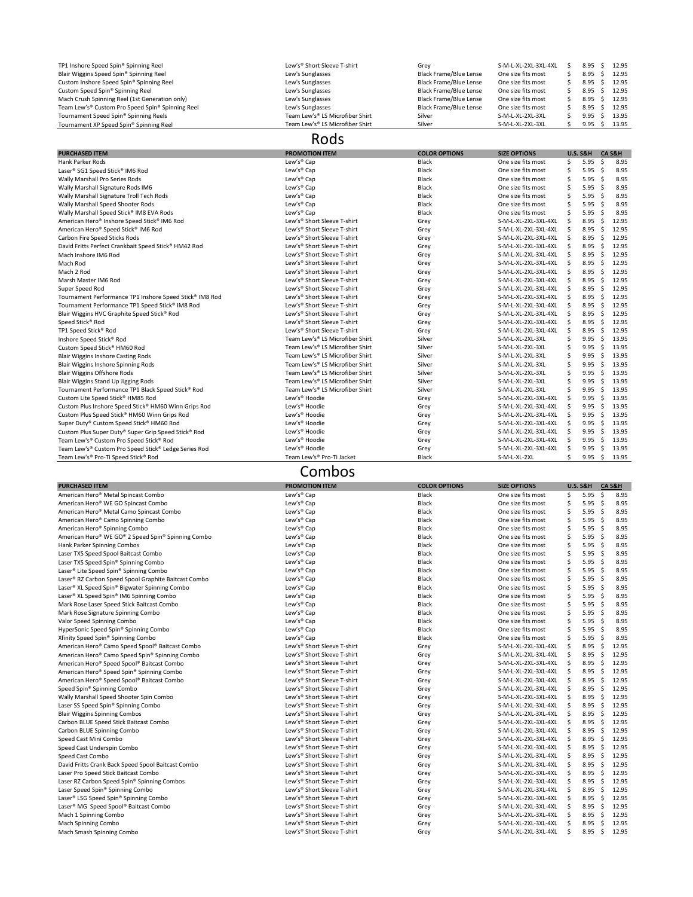| TP1 Inshore Speed Spin® Spinning Reel            | Lew's <sup>®</sup> Short Sleeve T-shirt | Grey                          | S-M-L-XL-2XL-3XL-4XL |                 | $8.95 \quad $12.95$ |
|--------------------------------------------------|-----------------------------------------|-------------------------------|----------------------|-----------------|---------------------|
| Blair Wiggins Speed Spin® Spinning Reel          | Lew's Sunglasses                        | Black Frame/Blue Lense        | One size fits most   | $8.95 \quad$ \$ | 12.95               |
| Custom Inshore Speed Spin® Spinning Reel         | Lew's Sunglasses                        | <b>Black Frame/Blue Lense</b> | One size fits most   | $8.95 \quad$ \$ | 12.95               |
| Custom Speed Spin® Spinning Reel                 | Lew's Sunglasses                        | <b>Black Frame/Blue Lense</b> | One size fits most   | $8.95 \quad$ \$ | 12.95               |
| Mach Crush Spinning Reel (1st Generation only)   | Lew's Sunglasses                        | <b>Black Frame/Blue Lense</b> | One size fits most   | $8.95 \quad $5$ | 12.95               |
| Team Lew's® Custom Pro Speed Spin® Spinning Reel | Lew's Sunglasses                        | <b>Black Frame/Blue Lense</b> | One size fits most   | $8.95 \quad$ \$ | 12.95               |
| Tournament Speed Spin® Spinning Reels            | Team Lew's® LS Microfiber Shirt         | Silver                        | S-M-L-XL-2XL-3XL     | 9.95            | 13.95               |
| Tournament XP Speed Spin® Spinning Reel          | Team Lew's® LS Microfiber Shirt         | Silver                        | S-M-L-XL-2XL-3XL     | $9.95 \quad $$  | 13.95               |

| <b>PURCHASED ITEM</b>                                   | <b>PROMOTION ITEM</b>                   | <b>COLOR OPTIONS</b> | <b>SIZE OPTIONS</b>  |     | <b>U.S. S&amp;H</b> | CA S&H       |       |
|---------------------------------------------------------|-----------------------------------------|----------------------|----------------------|-----|---------------------|--------------|-------|
| <b>Hank Parker Rods</b>                                 | Lew's <sup>®</sup> Cap                  | <b>Black</b>         | One size fits most   | S   | 5.95                | Ŝ            | 8.95  |
| Laser <sup>®</sup> SG1 Speed Stick <sup>®</sup> IM6 Rod | Lew's <sup>®</sup> Cap                  | <b>Black</b>         | One size fits most   | S   | 5.95                |              | 8.95  |
| Wally Marshall Pro Series Rods                          | Lew's <sup>®</sup> Cap                  | <b>Black</b>         | One size fits most   | \$. | 5.95                | -S           | 8.95  |
| Wally Marshall Signature Rods IM6                       | Lew's <sup>®</sup> Cap                  | <b>Black</b>         | One size fits most   | S   | 5.95                | -S           | 8.95  |
| Wally Marshall Signature Troll Tech Rods                | Lew's <sup>®</sup> Cap                  | <b>Black</b>         | One size fits most   |     | 5.95                | -S           | 8.95  |
| Wally Marshall Speed Shooter Rods                       | Lew's <sup>®</sup> Cap                  | <b>Black</b>         | One size fits most   |     | 5.95                | S            | 8.95  |
| Wally Marshall Speed Stick® IM8 EVA Rods                | Lew's <sup>®</sup> Cap                  | <b>Black</b>         | One size fits most   |     | 5.95                | \$.          | 8.95  |
| American Hero® Inshore Speed Stick® IM6 Rod             | Lew's® Short Sleeve T-shirt             | Grey                 | S-M-L-XL-2XL-3XL-4XL |     | 8.95                | S            | 12.95 |
| American Hero® Speed Stick® IM6 Rod                     | Lew's® Short Sleeve T-shirt             | Grey                 | S-M-L-XL-2XL-3XL-4XL |     | 8.95                | S            | 12.95 |
| Carbon Fire Speed Sticks Rods                           | Lew's® Short Sleeve T-shirt             | Grey                 | S-M-L-XL-2XL-3XL-4XL |     | 8.95                | S            | 12.95 |
| David Fritts Perfect Crankbait Speed Stick® HM42 Rod    | Lew's® Short Sleeve T-shirt             | Grey                 | S-M-L-XL-2XL-3XL-4XL |     | 8.95                | S            | 12.95 |
| Mach Inshore IM6 Rod                                    | Lew's® Short Sleeve T-shirt             | Grey                 | S-M-L-XL-2XL-3XL-4XL |     | 8.95                | S            | 12.95 |
| Mach Rod                                                | Lew's <sup>®</sup> Short Sleeve T-shirt | Grey                 | S-M-L-XL-2XL-3XL-4XL | -S  | 8.95                | <sub>S</sub> | 12.95 |
| Mach 2 Rod                                              | Lew's <sup>®</sup> Short Sleeve T-shirt | Grey                 | S-M-L-XL-2XL-3XL-4XL |     | 8.95                | S            | 12.95 |
| Marsh Master IM6 Rod                                    | Lew's® Short Sleeve T-shirt             | Grey                 | S-M-L-XL-2XL-3XL-4XL |     | 8.95                | <sub>S</sub> | 12.95 |
| Super Speed Rod                                         | Lew's® Short Sleeve T-shirt             | Grey                 | S-M-L-XL-2XL-3XL-4XL | -S  | 8.95                | S            | 12.95 |
| Tournament Performance TP1 Inshore Speed Stick® IM8 Rod | Lew's® Short Sleeve T-shirt             | Grey                 | S-M-L-XL-2XL-3XL-4XL |     | 8.95                | S            | 12.95 |
| Tournament Performance TP1 Speed Stick® IM8 Rod         | Lew's® Short Sleeve T-shirt             | Grey                 | S-M-L-XL-2XL-3XL-4XL | -S  | 8.95                | S            | 12.95 |
| Blair Wiggins HVC Graphite Speed Stick® Rod             | Lew's <sup>®</sup> Short Sleeve T-shirt | Grey                 | S-M-L-XL-2XL-3XL-4XL |     | 8.95                | -S           | 12.95 |
| Speed Stick® Rod                                        | Lew's® Short Sleeve T-shirt             | Grey                 | S-M-L-XL-2XL-3XL-4XL | -S  | 8.95                | S            | 12.95 |
| TP1 Speed Stick <sup>®</sup> Rod                        | Lew's <sup>®</sup> Short Sleeve T-shirt | Grey                 | S-M-L-XL-2XL-3XL-4XL |     | 8.95                | S            | 12.95 |
| Inshore Speed Stick® Rod                                | Team Lew's® LS Microfiber Shirt         | Silver               | S-M-L-XL-2XL-3XL     |     | 9.95                | S            | 13.95 |
| Custom Speed Stick® HM60 Rod                            | Team Lew's® LS Microfiber Shirt         | Silver               | S-M-L-XL-2XL-3XL     | S   | 9.95                | \$.          | 13.95 |
| <b>Blair Wiggins Inshore Casting Rods</b>               | Team Lew's® LS Microfiber Shirt         | Silver               | S-M-L-XL-2XL-3XL     |     | 9.95                | \$.          | 13.95 |
| <b>Blair Wiggins Inshore Spinning Rods</b>              | Team Lew's® LS Microfiber Shirt         | Silver               | S-M-L-XL-2XL-3XL     | \$  | 9.95                | \$.          | 13.95 |
| <b>Blair Wiggins Offshore Rods</b>                      | Team Lew's® LS Microfiber Shirt         | Silver               | S-M-L-XL-2XL-3XL     |     | 9.95                | -S           | 13.95 |
| Blair Wiggins Stand Up Jigging Rods                     | Team Lew's® LS Microfiber Shirt         | Silver               | S-M-L-XL-2XL-3XL     |     | 9.95                | \$.          | 13.95 |
| Tournament Performance TP1 Black Speed Stick® Rod       | Team Lew's® LS Microfiber Shirt         | Silver               | S-M-L-XL-2XL-3XL     |     | 9.95                | S            | 13.95 |
| Custom Lite Speed Stick® HM85 Rod                       | Lew's® Hoodie                           | Grey                 | S-M-L-XL-2XL-3XL-4XL |     | 9.95                | - \$         | 13.95 |
| Custom Plus Inshore Speed Stick® HM60 Winn Grips Rod    | Lew's <sup>®</sup> Hoodie               | Grey                 | S-M-L-XL-2XL-3XL-4XL |     | 9.95                | S            | 13.95 |
| Custom Plus Speed Stick® HM60 Winn Grips Rod            | Lew's <sup>®</sup> Hoodie               | Grey                 | S-M-L-XL-2XL-3XL-4XL |     | 9.95                |              | 13.95 |
| Super Duty® Custom Speed Stick® HM60 Rod                | Lew's <sup>®</sup> Hoodie               | Grey                 | S-M-L-XL-2XL-3XL-4XL |     | 9.95                | <sub>S</sub> | 13.95 |
| Custom Plus Super Duty® Super Grip Speed Stick® Rod     | Lew's <sup>®</sup> Hoodie               | Grey                 | S-M-L-XL-2XL-3XL-4XL |     | 9.95                |              | 13.95 |
| Team Lew's® Custom Pro Speed Stick® Rod                 | Lew's <sup>®</sup> Hoodie               | Grey                 | S-M-L-XL-2XL-3XL-4XL |     | 9.95                |              | 13.95 |
| Team Lew's® Custom Pro Speed Stick® Ledge Series Rod    | Lew's <sup>®</sup> Hoodie               | Grey                 | S-M-L-XL-2XL-3XL-4XL |     | 9.95                |              | 13.95 |
| Team Lew's® Pro-Ti Speed Stick® Rod                     | Team Lew's® Pro-Ti Jacket               | <b>Black</b>         | S-M-L-XL-2XL         |     | 9.95                | $\mathsf{S}$ | 13.95 |

| <b>PURCHASED ITEM</b>               | OTION ITEM<br><b>PRO</b> | <b>OLOR OPTIONS</b> | <b>SIZE OPTIONS</b> | <b>U.S. S&amp;H</b> | <b>CA S&amp;H</b> |
|-------------------------------------|--------------------------|---------------------|---------------------|---------------------|-------------------|
| American Hero® Metal Spincast Combo | $Lew's^{\omega}$<br>Cap  | <b>Black</b>        | One size fits most  | 5 95<br><u></u>     | 8.95              |

| American Hero <sup>®</sup> WE GO Spincast Combo                       | Lew's <sup>®</sup> Cap      | <b>Black</b> | One size fits most   | 5.95       | 8.95<br>S   |
|-----------------------------------------------------------------------|-----------------------------|--------------|----------------------|------------|-------------|
| American Hero <sup>®</sup> Metal Camo Spincast Combo                  | Lew's <sup>®</sup> Cap      | <b>Black</b> | One size fits most   | 5.95<br>-S | 8.95        |
| American Hero <sup>®</sup> Camo Spinning Combo                        | Lew's <sup>®</sup> Cap      | <b>Black</b> | One size fits most   | 5.95<br>-S | 8.95        |
| American Hero <sup>®</sup> Spinning Combo                             | Lew's <sup>®</sup> Cap      | <b>Black</b> | One size fits most   | 5.95<br>-S | 8.95        |
| American Hero® WE GO® 2 Speed Spin® Spinning Combo                    | Lew's <sup>®</sup> Cap      | <b>Black</b> | One size fits most   | 5.95       | 8.95        |
| Hank Parker Spinning Combos                                           | Lew's <sup>®</sup> Cap      | <b>Black</b> | One size fits most   | 5.95       | 8.95        |
| Laser TXS Speed Spool Baitcast Combo                                  | Lew's <sup>®</sup> Cap      | <b>Black</b> | One size fits most   | 5.95<br>-S | 8.95        |
| Laser TXS Speed Spin® Spinning Combo                                  | Lew's <sup>®</sup> Cap      | <b>Black</b> | One size fits most   | 5.95       | 8.95        |
| Laser <sup>®</sup> Lite Speed Spin® Spinning Combo                    | Lew's <sup>®</sup> Cap      | <b>Black</b> | One size fits most   | 5.95       | 8.95        |
| Laser <sup>®</sup> RZ Carbon Speed Spool Graphite Baitcast Combo      | Lew's <sup>®</sup> Cap      | <b>Black</b> | One size fits most   | 5.95       | 8.95        |
| Laser <sup>®</sup> XL Speed Spin <sup>®</sup> Bigwater Spinning Combo | Lew's <sup>®</sup> Cap      | <b>Black</b> | One size fits most   | 5.95<br>-S | 8.95        |
| Laser <sup>®</sup> XL Speed Spin <sup>®</sup> IM6 Spinning Combo      | Lew's <sup>®</sup> Cap      | <b>Black</b> | One size fits most   | 5.95       | 8.95        |
| Mark Rose Laser Speed Stick Baitcast Combo                            | Lew's <sup>®</sup> Cap      | <b>Black</b> | One size fits most   | 5.95       | 8.95        |
| Mark Rose Signature Spinning Combo                                    | Lew's <sup>®</sup> Cap      | <b>Black</b> | One size fits most   | 5.95       | 8.95        |
| Valor Speed Spinning Combo                                            | Lew's <sup>®</sup> Cap      | <b>Black</b> | One size fits most   | 5.95<br>-S | 8.95        |
| HyperSonic Speed Spin® Spinning Combo                                 | Lew's <sup>®</sup> Cap      | <b>Black</b> | One size fits most   | 5.95       | 8.95        |
| Xfinity Speed Spin® Spinning Combo                                    | Lew's <sup>®</sup> Cap      | <b>Black</b> | One size fits most   | 5.95       | 8.95        |
| American Hero® Camo Speed Spool® Baitcast Combo                       | Lew's® Short Sleeve T-shirt | Grey         | S-M-L-XL-2XL-3XL-4XL | 8.95       | 12.95       |
| American Hero <sup>®</sup> Camo Speed Spin® Spinning Combo            | Lew's® Short Sleeve T-shirt | Grey         | S-M-L-XL-2XL-3XL-4XL | 8.95       | 12.95<br>-S |
| American Hero® Speed Spool® Baitcast Combo                            | Lew's® Short Sleeve T-shirt | Grey         | S-M-L-XL-2XL-3XL-4XL | 8.95       | 12.95       |
| American Hero® Speed Spin® Spinning Combo                             | Lew's® Short Sleeve T-shirt | Grey         | S-M-L-XL-2XL-3XL-4XL | 8.95       | 12.95<br>-S |
| American Hero® Speed Spool® Baitcast Combo                            | Lew's® Short Sleeve T-shirt | Grey         | S-M-L-XL-2XL-3XL-4XL | 8.95       | 12.95<br>-S |
| Speed Spin® Spinning Combo                                            | Lew's® Short Sleeve T-shirt | Grey         | S-M-L-XL-2XL-3XL-4XL | 8.95       | 12.95<br>-S |
| Wally Marshall Speed Shooter Spin Combo                               | Lew's® Short Sleeve T-shirt | Grey         | S-M-L-XL-2XL-3XL-4XL | 8.95       | 12.95<br>-S |
| Laser SS Speed Spin® Spinning Combo                                   | Lew's® Short Sleeve T-shirt | Grey         | S-M-L-XL-2XL-3XL-4XL | 8.95       | 12.95       |
| <b>Blair Wiggins Spinning Combos</b>                                  | Lew's® Short Sleeve T-shirt | Grey         | S-M-L-XL-2XL-3XL-4XL | 8.95       | 12.95<br>-S |
| Carbon BLUE Speed Stick Baitcast Combo                                | Lew's® Short Sleeve T-shirt | Grey         | S-M-L-XL-2XL-3XL-4XL | 8.95       | 12.95       |
| <b>Carbon BLUE Spinning Combo</b>                                     | Lew's® Short Sleeve T-shirt | Grey         | S-M-L-XL-2XL-3XL-4XL | 8.95       | 12.95<br>-S |
| Speed Cast Mini Combo                                                 | Lew's® Short Sleeve T-shirt | Grey         | S-M-L-XL-2XL-3XL-4XL | 8.95       | 12.95<br>-S |
| Speed Cast Underspin Combo                                            | Lew's® Short Sleeve T-shirt | Grey         | S-M-L-XL-2XL-3XL-4XL | 8.95       | 12.95<br>\$ |
| Speed Cast Combo                                                      | Lew's® Short Sleeve T-shirt | Grey         | S-M-L-XL-2XL-3XL-4XL | 8.95       | -S<br>12.95 |
| David Fritts Crank Back Speed Spool Baitcast Combo                    | Lew's® Short Sleeve T-shirt | Grey         | S-M-L-XL-2XL-3XL-4XL | 8.95       | 12.95<br>S  |
| Laser Pro Speed Stick Baitcast Combo                                  | Lew's® Short Sleeve T-shirt | Grey         | S-M-L-XL-2XL-3XL-4XL | 8.95       | 12.95       |
| Laser RZ Carbon Speed Spin® Spinning Combos                           | Lew's® Short Sleeve T-shirt | Grey         | S-M-L-XL-2XL-3XL-4XL | 8.95       | 12.95       |
| Laser Speed Spin® Spinning Combo                                      | Lew's® Short Sleeve T-shirt | Grey         | S-M-L-XL-2XL-3XL-4XL | 8.95       | 12.95<br>-S |
| Laser® LSG Speed Spin® Spinning Combo                                 | Lew's® Short Sleeve T-shirt | Grey         | S-M-L-XL-2XL-3XL-4XL | 8.95       | 12.95       |
| Laser <sup>®</sup> MG Speed Spool <sup>®</sup> Baitcast Combo         | Lew's® Short Sleeve T-shirt | Grey         | S-M-L-XL-2XL-3XL-4XL | 8.95       | 12.95       |
| Mach 1 Spinning Combo                                                 | Lew's® Short Sleeve T-shirt | Grey         | S-M-L-XL-2XL-3XL-4XL | 8.95       | 12.95       |
| <b>Mach Spinning Combo</b>                                            | Lew's® Short Sleeve T-shirt | Grey         | S-M-L-XL-2XL-3XL-4XL | 8.95       | 12.95<br>-S |
| Mach Smash Spinning Combo                                             | Lew's® Short Sleeve T-shirt | Grey         | S-M-L-XL-2XL-3XL-4XL | 8.95       | 12.95<br>-S |

# Rods

## Combos